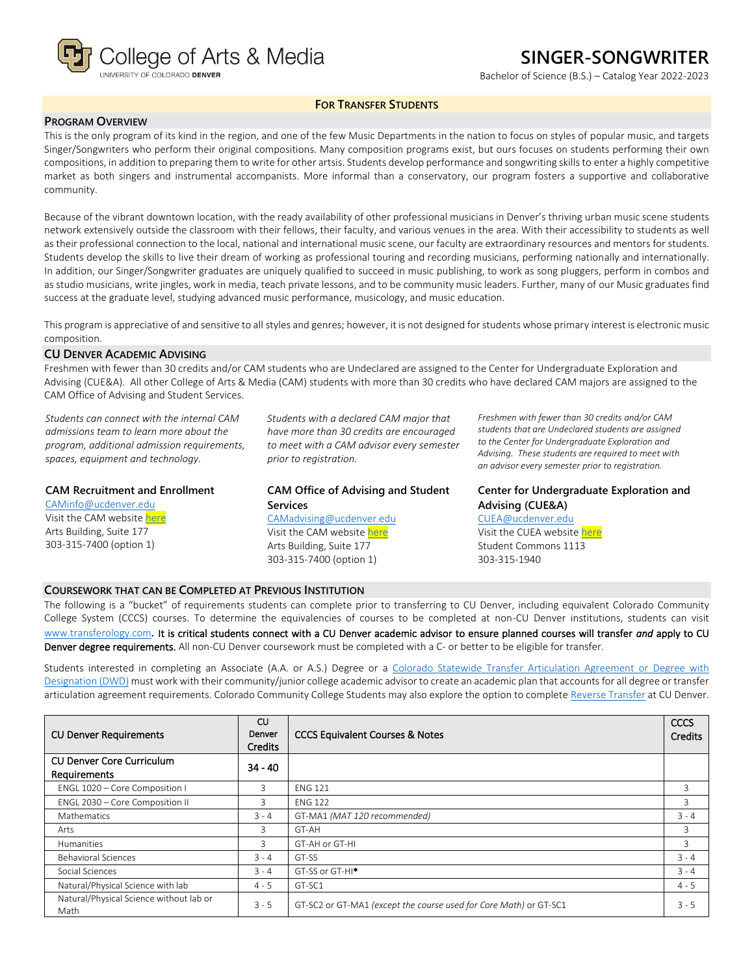

# **SINGER-SONGWRITER**

Bachelor of Science (B.S.) – Catalog Year 2022-2023

### **FOR TRANSFER STUDENTS**

### **PROGRAM OVERVIEW**

This is the only program of its kind in the region, and one of the few Music Departments in the nation to focus on styles of popular music, and targets Singer/Songwriters who perform their original compositions. Many composition programs exist, but ours focuses on students performing their own compositions, in addition to preparing them to write for other artsis. Students develop performance and songwriting skills to enter a highly competitive market as both singers and instrumental accompanists. More informal than a conservatory, our program fosters a supportive and collaborative community.

Because of the vibrant downtown location, with the ready availability of other professional musicians in Denver's thriving urban music scene students network extensively outside the classroom with their fellows, their faculty, and various venues in the area. With their accessibility to students as well as their professional connection to the local, national and international music scene, our faculty are extraordinary resources and mentors for students. Students develop the skills to live their dream of working as professional touring and recording musicians, performing nationally and internationally. In addition, our Singer/Songwriter graduates are uniquely qualified to succeed in music publishing, to work as song pluggers, perform in combos and as studio musicians, write jingles, work in media, teach private lessons, and to be community music leaders. Further, many of our Music graduates find success at the graduate level, studying advanced music performance, musicology, and music education.

This program is appreciative of and sensitive to all styles and genres; however, it is not designed for students whose primary interest is electronic music composition.

#### **CU DENVER ACADEMIC ADVISING**

Freshmen with fewer than 30 credits and/or CAM students who are Undeclared are assigned to the Center for Undergraduate Exploration and Advising (CUE&A). All other College of Arts & Media (CAM) students with more than 30 credits who have declared CAM majors are assigned to the CAM Office of Advising and Student Services.

*Students can connect with the internal CAM admissions team to learn more about the program, additional admission requirements, spaces, equipment and technology.*

### **CAM Recruitment and Enrollment**

[CAMinfo@ucdenver.edu](mailto:CAMinfo@ucdenver.edu) Visit the CAM websit[e here](https://artsandmedia.ucdenver.edu/prospective-students/prospective-students) Arts Building, Suite 177 303-315-7400 (option 1)

*Students with a declared CAM major that have more than 30 credits are encouraged to meet with a CAM advisor every semester prior to registration.*

**CAM Office of Advising and Student Services** [CAMadvising@ucdenver.edu](mailto:CAMadvising@ucdenver.edu) Visit the CAM websit[e here](https://artsandmedia.ucdenver.edu/current-students/about-academic-advising) Arts Building, Suite 177 303-315-7400 (option 1)

*Freshmen with fewer than 30 credits and/or CAM students that are Undeclared students are assigned to the Center for Undergraduate Exploration and Advising. These students are required to meet with an advisor every semester prior to registration.*

## **Center for Undergraduate Exploration and Advising (CUE&A)**

[CUEA@ucdenver.edu](mailto:CUEA@ucdenver.edu) Visit the CUEA websit[e here](https://www.ucdenver.edu/center-for-undergraduate-exploration-and-advising) Student Commons 1113 303-315-1940

### **COURSEWORK THAT CAN BE COMPLETED AT PREVIOUS INSTITUTION**

The following is a "bucket" of requirements students can complete prior to transferring to CU Denver, including equivalent Colorado Community College System (CCCS) courses. To determine the equivalencies of courses to be completed at non-CU Denver institutions, students can visit [www.transferology.com](http://www.transferology.com/)**.** It is critical students connect with a CU Denver academic advisor to ensure planned courses will transfer *and* apply to CU Denver degree requirements. All non-CU Denver coursework must be completed with a C- or better to be eligible for transfer.

Students interested in completing an Associate (A.A. or A.S.) Degree or a Colorado Statewide Transfer Articulation Agreement or Degree with [Designation \(DWD\)](https://highered.colorado.gov/Academics/Transfers/TransferDegrees.html) must work with their community/junior college academic advisor to create an academic plan that accounts for all degree or transfer articulation agreement requirements. Colorado Community College Students may also explore the option to complet[e Reverse Transfer](https://degreewithinreach.wordpress.com/) at CU Denver.

| <b>CU Denver Requirements</b>                    | CU<br>Denver<br><b>Credits</b> | <b>CCCS Equivalent Courses &amp; Notes</b>                        | CCCS<br><b>Credits</b> |
|--------------------------------------------------|--------------------------------|-------------------------------------------------------------------|------------------------|
| <b>CU Denver Core Curriculum</b><br>Requirements | $34 - 40$                      |                                                                   |                        |
| ENGL 1020 - Core Composition I                   | 3                              | <b>ENG 121</b>                                                    | 3                      |
| ENGL 2030 - Core Composition II                  | 3                              | <b>ENG 122</b>                                                    | 3                      |
| Mathematics                                      | $3 - 4$                        | GT-MA1 (MAT 120 recommended)                                      | $3 - 4$                |
| Arts                                             | 3                              | GT-AH                                                             | 3                      |
| Humanities                                       | 3                              | GT-AH or GT-HI                                                    | 3                      |
| <b>Behavioral Sciences</b>                       | $3 - 4$                        | GT-SS                                                             | $3 - 4$                |
| Social Sciences                                  | $3 - 4$                        | GT-SS or GT-HI <sup>*</sup>                                       | $3 - 4$                |
| Natural/Physical Science with lab                | $4 - 5$                        | GT-SC1                                                            | $4 - 5$                |
| Natural/Physical Science without lab or<br>Math  | $3 - 5$                        | GT-SC2 or GT-MA1 (except the course used for Core Math) or GT-SC1 | $3 - 5$                |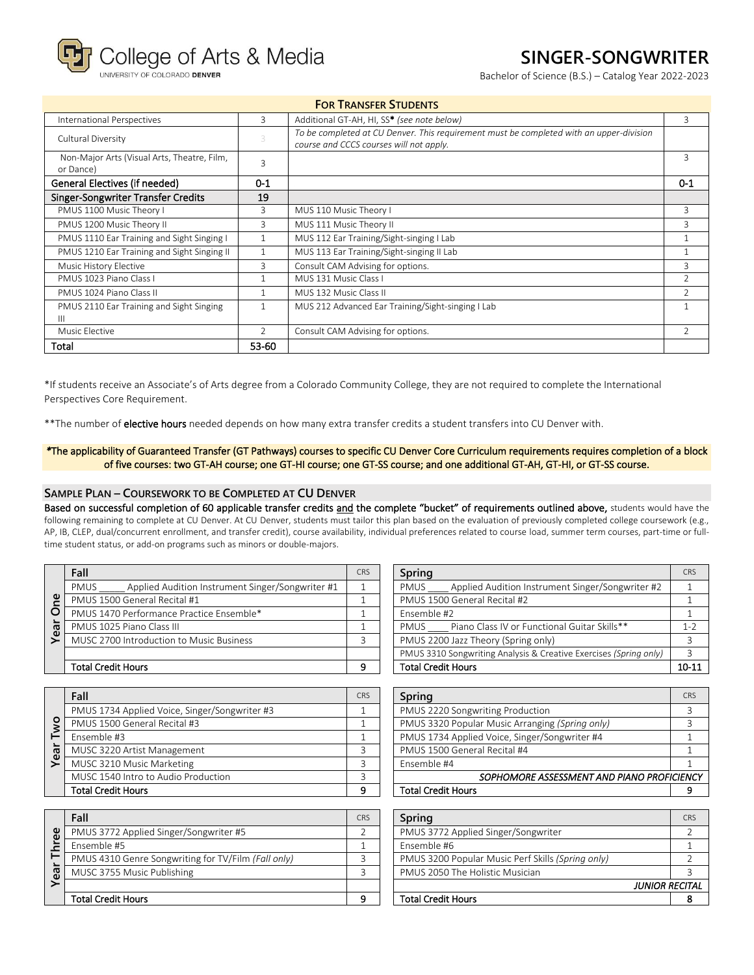College of Arts & Media

RSITY OF COLORADO DENVER

# **SINGER-SONGWRITER**

Bachelor of Science (B.S.) – Catalog Year 2022-2023

|                                                          |               | <b>FOR TRANSFER STUDENTS</b>                                                                                                       |                          |
|----------------------------------------------------------|---------------|------------------------------------------------------------------------------------------------------------------------------------|--------------------------|
| International Perspectives                               | 3             | Additional GT-AH, HI, SS* (see note below)                                                                                         | 3                        |
| Cultural Diversity                                       | 3             | To be completed at CU Denver. This requirement must be completed with an upper-division<br>course and CCCS courses will not apply. |                          |
| Non-Major Arts (Visual Arts, Theatre, Film,<br>or Dance) | $\mathbf{R}$  |                                                                                                                                    | ς                        |
| General Electives (if needed)                            | $0 - 1$       |                                                                                                                                    | $0 - 1$                  |
| <b>Singer-Songwriter Transfer Credits</b>                | 19            |                                                                                                                                    |                          |
| PMUS 1100 Music Theory I                                 | 3             | MUS 110 Music Theory I                                                                                                             | 3                        |
| PMUS 1200 Music Theory II                                | 3             | MUS 111 Music Theory II                                                                                                            | 3                        |
| PMUS 1110 Ear Training and Sight Singing I               | 1             | MUS 112 Ear Training/Sight-singing I Lab                                                                                           |                          |
| PMUS 1210 Ear Training and Sight Singing II              | 1             | MUS 113 Ear Training/Sight-singing II Lab                                                                                          |                          |
| Music History Elective                                   | 3             | Consult CAM Advising for options.                                                                                                  | 3                        |
| PMUS 1023 Piano Class I                                  | $\mathbf{1}$  | MUS 131 Music Class I                                                                                                              | $\overline{\phantom{a}}$ |
| PMUS 1024 Piano Class II                                 | -1            | MUS 132 Music Class II                                                                                                             |                          |
| PMUS 2110 Ear Training and Sight Singing<br>Ш            | $\mathbf{1}$  | MUS 212 Advanced Ear Training/Sight-singing I Lab                                                                                  |                          |
| Music Elective                                           | $\mathcal{P}$ | Consult CAM Advising for options.                                                                                                  | $\mathcal{P}$            |
| Total                                                    | 53-60         |                                                                                                                                    |                          |

\*If students receive an Associate's of Arts degree from a Colorado Community College, they are not required to complete the International Perspectives Core Requirement.

\*\*The number of elective hours needed depends on how many extra transfer credits a student transfers into CU Denver with.

#### *\**The applicability of Guaranteed Transfer (GT Pathways) courses to specific CU Denver Core Curriculum requirements requires completion of a block of five courses: two GT-AH course; one GT-HI course; one GT-SS course; and one additional GT-AH, GT-HI, or GT-SS course.

#### **SAMPLE PLAN – COURSEWORK TO BE COMPLETED AT CU DENVER**

Based on successful completion of 60 applicable transfer credits and the complete "bucket" of requirements outlined above, students would have the following remaining to complete at CU Denver. At CU Denver, students must tailor this plan based on the evaluation of previously completed college coursework (e.g., AP, IB, CLEP, dual/concurrent enrollment, and transfer credit), course availability, individual preferences related to course load, summer term courses, part-time or fulltime student status, or add-on programs such as minors or double-majors.

|   | Fall                                                     | <b>CRS</b> | Spring                                                            | <b>CRS</b> |
|---|----------------------------------------------------------|------------|-------------------------------------------------------------------|------------|
|   | Applied Audition Instrument Singer/Songwriter #1<br>PMUS |            | Applied Audition Instrument Singer/Songwriter #2<br><b>PMUS</b>   |            |
| ≌ | PMUS 1500 General Recital #1                             |            | PMUS 1500 General Recital #2                                      |            |
| O | PMUS 1470 Performance Practice Ensemble*                 |            | Ensemble #2                                                       |            |
| Ф | PMUS 1025 Piano Class III                                |            | Piano Class IV or Functional Guitar Skills**<br><b>PMUS</b>       | 1-2        |
| Φ | MUSC 2700 Introduction to Music Business                 |            | PMUS 2200 Jazz Theory (Spring only)                               |            |
|   |                                                          |            | PMUS 3310 Songwriting Analysis & Creative Exercises (Spring only) | २          |
|   | <b>Total Credit Hours</b>                                |            | <b>Total Credit Hours</b>                                         | $10-1$     |

|         | Fall                                          | <b>CRS</b> | <b>Spring</b>                                   | CRS |
|---------|-----------------------------------------------|------------|-------------------------------------------------|-----|
|         | PMUS 1734 Applied Voice, Singer/Songwriter #3 |            | PMUS 2220 Songwriting Production                |     |
| $\circ$ | PMUS 1500 General Recital #3                  |            | PMUS 3320 Popular Music Arranging (Spring only) |     |
|         | Fnsemble #3                                   |            | PMUS 1734 Applied Voice, Singer/Songwriter #4   |     |
| Yea     | MUSC 3220 Artist Management                   |            | PMUS 1500 General Recital #4                    |     |
|         | MUSC 3210 Music Marketing                     |            | Ensemble #4                                     |     |
|         | MUSC 1540 Intro to Audio Production           |            | SOPHOMORE ASSESSMENT AND PIANO PROFICIENC       |     |
|         | <b>Total Credit Hours</b>                     | Ω          | <b>Total Credit Hours</b>                       |     |

|                   | Fall                                                | <b>CRS</b> | Spring                                            | CRS                  |
|-------------------|-----------------------------------------------------|------------|---------------------------------------------------|----------------------|
| $\mathbf{\omega}$ | PMUS 3772 Applied Singer/Songwriter #5              |            | PMUS 3772 Applied Singer/Songwriter               |                      |
|                   | Ensemble #5                                         |            | Ensemble #6                                       |                      |
|                   | PMUS 4310 Genre Songwriting for TV/Film (Fall only) |            | PMUS 3200 Popular Music Perf Skills (Spring only) |                      |
| 69                | MUSC 3755 Music Publishing                          |            | PMUS 2050 The Holistic Musician                   |                      |
|                   |                                                     |            |                                                   | <b>JUNIOR RECITA</b> |
|                   | <b>Total Credit Hours</b>                           |            | <b>Total Credit Hours</b>                         |                      |

| Fall                                                            | <b>CRS</b> | Spring                                                            | <b>CRS</b> |
|-----------------------------------------------------------------|------------|-------------------------------------------------------------------|------------|
| <b>PMUS</b><br>Applied Audition Instrument Singer/Songwriter #1 |            | Applied Audition Instrument Singer/Songwriter #2<br><b>PMUS</b>   |            |
| PMUS 1500 General Recital #1                                    |            | PMUS 1500 General Recital #2                                      |            |
| PMUS 1470 Performance Practice Ensemble*                        |            | Ensemble #2                                                       |            |
| PMUS 1025 Piano Class III                                       |            | Piano Class IV or Functional Guitar Skills**<br><b>PMUS</b>       | 1-2        |
| MUSC 2700 Introduction to Music Business                        |            | PMUS 2200 Jazz Theory (Spring only)                               |            |
|                                                                 |            | PMUS 3310 Songwriting Analysis & Creative Exercises (Spring only) |            |
| Total Credit Hours                                              | o          | <b>Total Credit Hours</b>                                         | 10-11      |

| Fall                                          | <b>CRS</b> | Spring                                          | <b>CRS</b> |
|-----------------------------------------------|------------|-------------------------------------------------|------------|
| PMUS 1734 Applied Voice, Singer/Songwriter #3 |            | PMUS 2220 Songwriting Production                |            |
| PMUS 1500 General Recital #3                  |            | PMUS 3320 Popular Music Arranging (Spring only) |            |
| Ensemble #3                                   |            | PMUS 1734 Applied Voice, Singer/Songwriter #4   |            |
| MUSC 3220 Artist Management                   |            | PMUS 1500 General Recital #4                    |            |
| MUSC 3210 Music Marketing                     |            | Ensemble #4                                     |            |
| MUSC 1540 Intro to Audio Production           |            | SOPHOMORE ASSESSMENT AND PIANO PROFICIENCY      |            |
| Total Credit Hours                            | $\circ$    | <b>Total Credit Hours</b>                       |            |
|                                               |            |                                                 |            |

| Spring                                            | <b>CRS</b> |
|---------------------------------------------------|------------|
| PMUS 3772 Applied Singer/Songwriter               |            |
| Ensemble #6                                       |            |
| PMUS 3200 Popular Music Perf Skills (Spring only) |            |
| PMUS 2050 The Holistic Musician                   |            |
| <b>JUNIOR RECITAL</b>                             |            |
| <b>Total Credit Hours</b>                         |            |